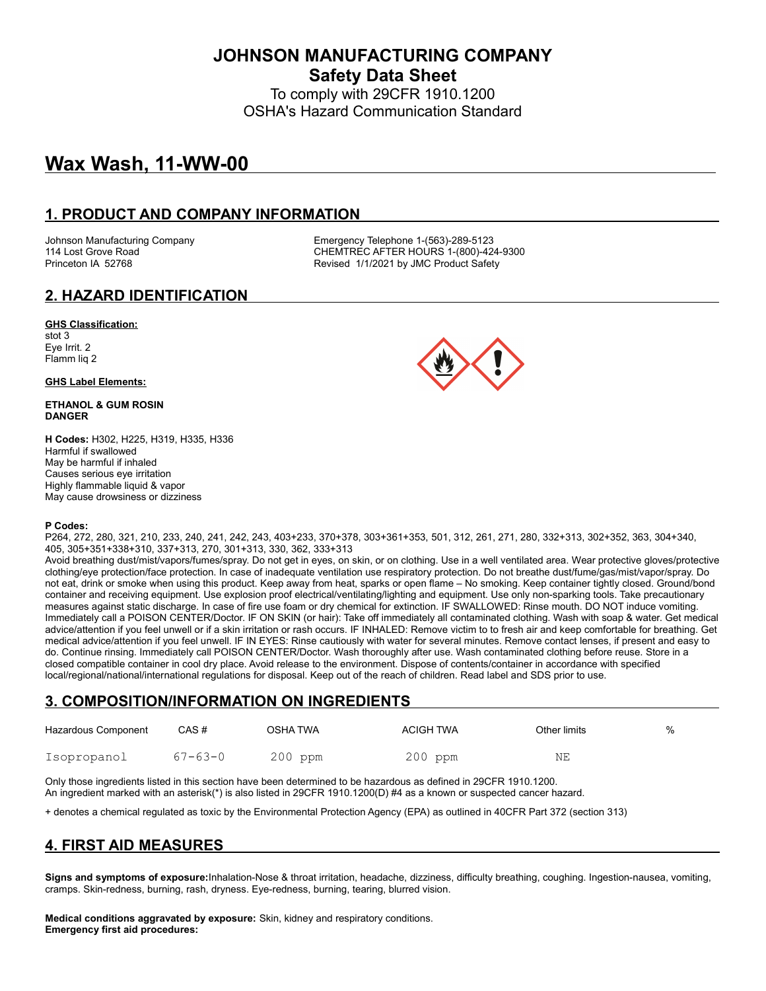**JOHNSON MANUFACTURING COMPANY Safety Data Sheet**

To comply with 29CFR 1910.1200 OSHA's Hazard Communication Standard

# **Wax Wash, 11-WW-00**

### **1. PRODUCT AND COMPANY INFORMATION**

Johnson Manufacturing Company **Emergency Telephone 1-(563)-289-5123**<br>114 Lost Grove Road **COMPAN COMPANE CONTREC AFTER HOURS** 1-(800)-42 CHEMTREC AFTER HOURS 1-(800)-424-9300 Princeton IA 52768 **Revised 1/1/2021 by JMC Product Safety** 

## **2. HAZARD IDENTIFICATION**

#### **GHS Classification:**

stot 3 Eye Irrit. 2 Flamm liq 2

#### **GHS Label Elements:**

#### **ETHANOL & GUM ROSIN DANGER**

**H Codes:** H302, H225, H319, H335, H336 Harmful if swallowed May be harmful if inhaled Causes serious eye irritation Highly flammable liquid & vapor May cause drowsiness or dizziness

#### **P Codes:**

P264, 272, 280, 321, 210, 233, 240, 241, 242, 243, 403+233, 370+378, 303+361+353, 501, 312, 261, 271, 280, 332+313, 302+352, 363, 304+340, 405, 305+351+338+310, 337+313, 270, 301+313, 330, 362, 333+313

Avoid breathing dust/mist/vapors/fumes/spray. Do not get in eyes, on skin, or on clothing. Use in a well ventilated area. Wear protective gloves/protective clothing/eye protection/face protection. In case of inadequate ventilation use respiratory protection. Do not breathe dust/fume/gas/mist/vapor/spray. Do not eat, drink or smoke when using this product. Keep away from heat, sparks or open flame – No smoking. Keep container tightly closed. Ground/bond container and receiving equipment. Use explosion proof electrical/ventilating/lighting and equipment. Use only non-sparking tools. Take precautionary measures against static discharge. In case of fire use foam or dry chemical for extinction. IF SWALLOWED: Rinse mouth. DO NOT induce vomiting. Immediately call a POISON CENTER/Doctor. IF ON SKIN (or hair): Take off immediately all contaminated clothing. Wash with soap & water. Get medical advice/attention if you feel unwell or if a skin irritation or rash occurs. IF INHALED: Remove victim to to fresh air and keep comfortable for breathing. Get medical advice/attention if you feel unwell. IF IN EYES: Rinse cautiously with water for several minutes. Remove contact lenses, if present and easy to do. Continue rinsing. Immediately call POISON CENTER/Doctor. Wash thoroughly after use. Wash contaminated clothing before reuse. Store in a closed compatible container in cool dry place. Avoid release to the environment. Dispose of contents/container in accordance with specified local/regional/national/international regulations for disposal. Keep out of the reach of children. Read label and SDS prior to use.

### **3. COMPOSITION/INFORMATION ON INGREDIENTS**

| Hazardous Component | CAS#          | OSHA TWA  | <b>ACIGH TWA</b> | Other limits | % |
|---------------------|---------------|-----------|------------------|--------------|---|
| Isopropanol         | $67 - 63 - 0$ | $200$ ppm | $200$ ppm        | ΝE           |   |

Only those ingredients listed in this section have been determined to be hazardous as defined in 29CFR 1910.1200. An ingredient marked with an asterisk(\*) is also listed in 29CFR 1910.1200(D) #4 as a known or suspected cancer hazard.

+ denotes a chemical regulated as toxic by the Environmental Protection Agency (EPA) as outlined in 40CFR Part 372 (section 313)

## **4. FIRST AID MEASURES**

**Signs and symptoms of exposure:**Inhalation-Nose & throat irritation, headache, dizziness, difficulty breathing, coughing. Ingestion-nausea, vomiting, cramps. Skin-redness, burning, rash, dryness. Eye-redness, burning, tearing, blurred vision.

**Medical conditions aggravated by exposure:** Skin, kidney and respiratory conditions. **Emergency first aid procedures:**

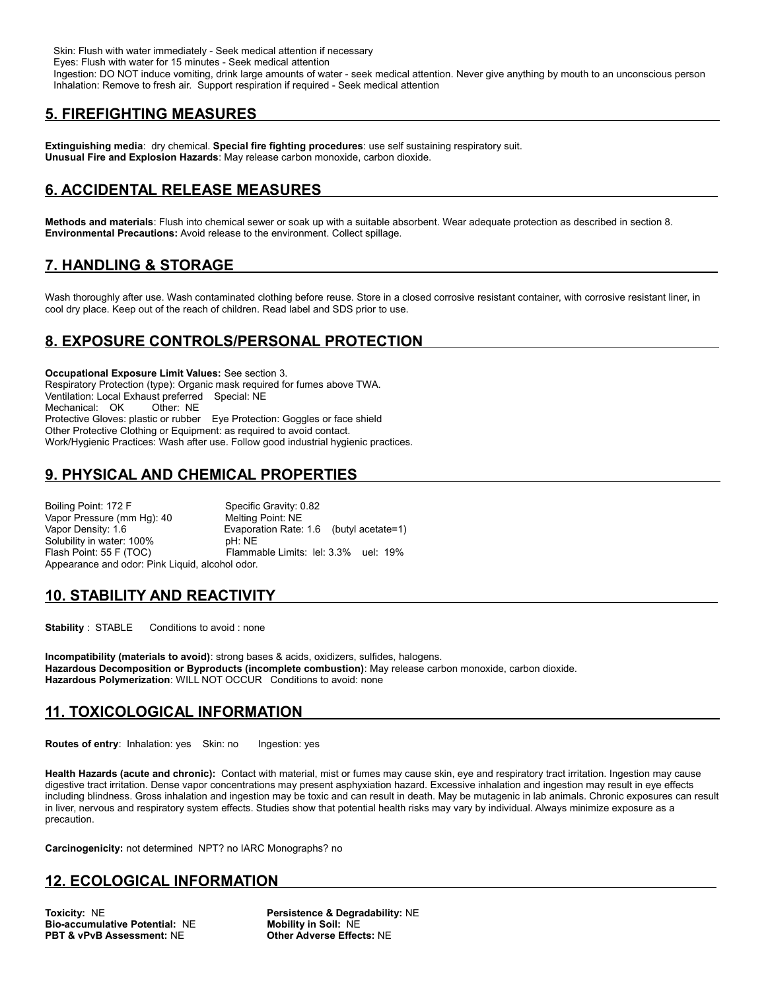Skin: Flush with water immediately - Seek medical attention if necessary

Eyes: Flush with water for 15 minutes - Seek medical attention

 Ingestion: DO NOT induce vomiting, drink large amounts of water - seek medical attention. Never give anything by mouth to an unconscious person Inhalation: Remove to fresh air. Support respiration if required - Seek medical attention

## **5. FIREFIGHTING MEASURES**

**Extinguishing media**: dry chemical. **Special fire fighting procedures**: use self sustaining respiratory suit. **Unusual Fire and Explosion Hazards**: May release carbon monoxide, carbon dioxide.

## **6. ACCIDENTAL RELEASE MEASURES**

**Methods and materials**: Flush into chemical sewer or soak up with a suitable absorbent. Wear adequate protection as described in section 8. **Environmental Precautions:** Avoid release to the environment. Collect spillage.

## **7. HANDLING & STORAGE**

Wash thoroughly after use. Wash contaminated clothing before reuse. Store in a closed corrosive resistant container, with corrosive resistant liner, in cool dry place. Keep out of the reach of children. Read label and SDS prior to use.

## **8. EXPOSURE CONTROLS/PERSONAL PROTECTION**

**Occupational Exposure Limit Values:** See section 3. Respiratory Protection (type): Organic mask required for fumes above TWA. Ventilation: Local Exhaust preferred Special: NE Mechanical: OK Other: NE Protective Gloves: plastic or rubber Eye Protection: Goggles or face shield Other Protective Clothing or Equipment: as required to avoid contact. Work/Hygienic Practices: Wash after use. Follow good industrial hygienic practices.

## **9. PHYSICAL AND CHEMICAL PROPERTIES**

Boiling Point: 172 F Specific Gravity: 0.82 Vapor Pressure (mm Hg): 40 Melting Point: NE Vapor Density: 1.6 Evaporation Rate: 1.6 (butyl acetate=1) Solubility in water: 100% pH: NE Flash Point: 55 F (TOC) Flammable Limits: lel: 3.3% uel: 19% Appearance and odor: Pink Liquid, alcohol odor.

## **10. STABILITY AND REACTIVITY**

**Stability** : STABLE Conditions to avoid : none

**Incompatibility (materials to avoid)**: strong bases & acids, oxidizers, sulfides, halogens. **Hazardous Decomposition or Byproducts (incomplete combustion)**: May release carbon monoxide, carbon dioxide. **Hazardous Polymerization**: WILL NOT OCCUR Conditions to avoid: none

### **11. TOXICOLOGICAL INFORMATION**

**Routes of entry: Inhalation: yes Skin: no Ingestion: yes** 

**Health Hazards (acute and chronic):** Contact with material, mist or fumes may cause skin, eye and respiratory tract irritation. Ingestion may cause digestive tract irritation. Dense vapor concentrations may present asphyxiation hazard. Excessive inhalation and ingestion may result in eye effects including blindness. Gross inhalation and ingestion may be toxic and can result in death. May be mutagenic in lab animals. Chronic exposures can result in liver, nervous and respiratory system effects. Studies show that potential health risks may vary by individual. Always minimize exposure as a precaution.

**Carcinogenicity:** not determined NPT? no IARC Monographs? no

### **12. ECOLOGICAL INFORMATION**

**Toxicity:** NE **Persistence & Degradability:** NE **Bio-accumulative Potential:** NE **Mobility in Soil:** NE **PBT & vPvB Assessment:** NE **Other Adverse Effects:** NE